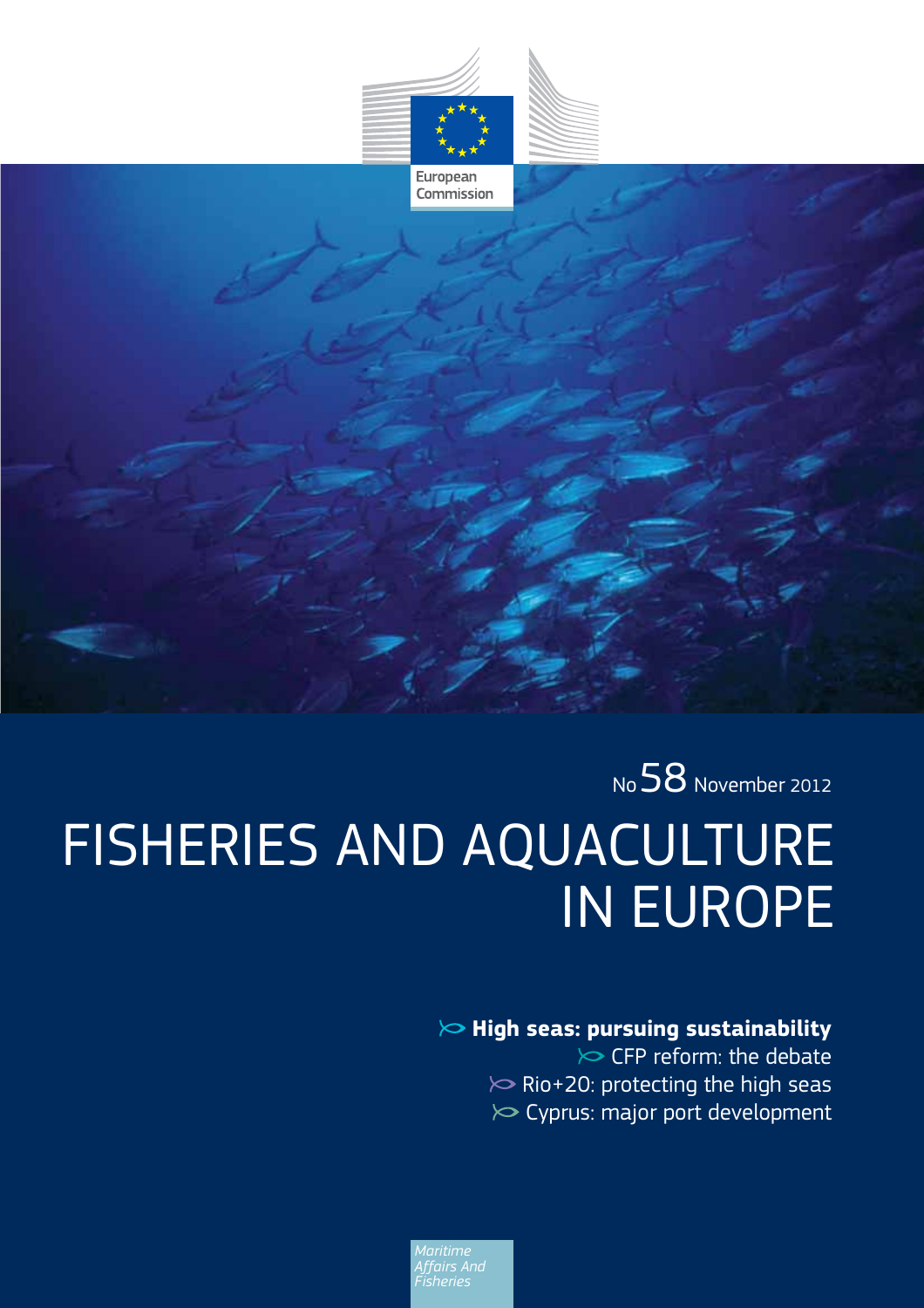

Commission

No 58 November 2012 FISHERIES AND AQUACULTURE IN EUROPE

## **High seas: pursuing sustainability**

 $\triangleright$  CFP reform: the debate  $\gg$  Rio+20: protecting the high seas  $\gg$  Cyprus: major port development

*Affairs And Fisheries*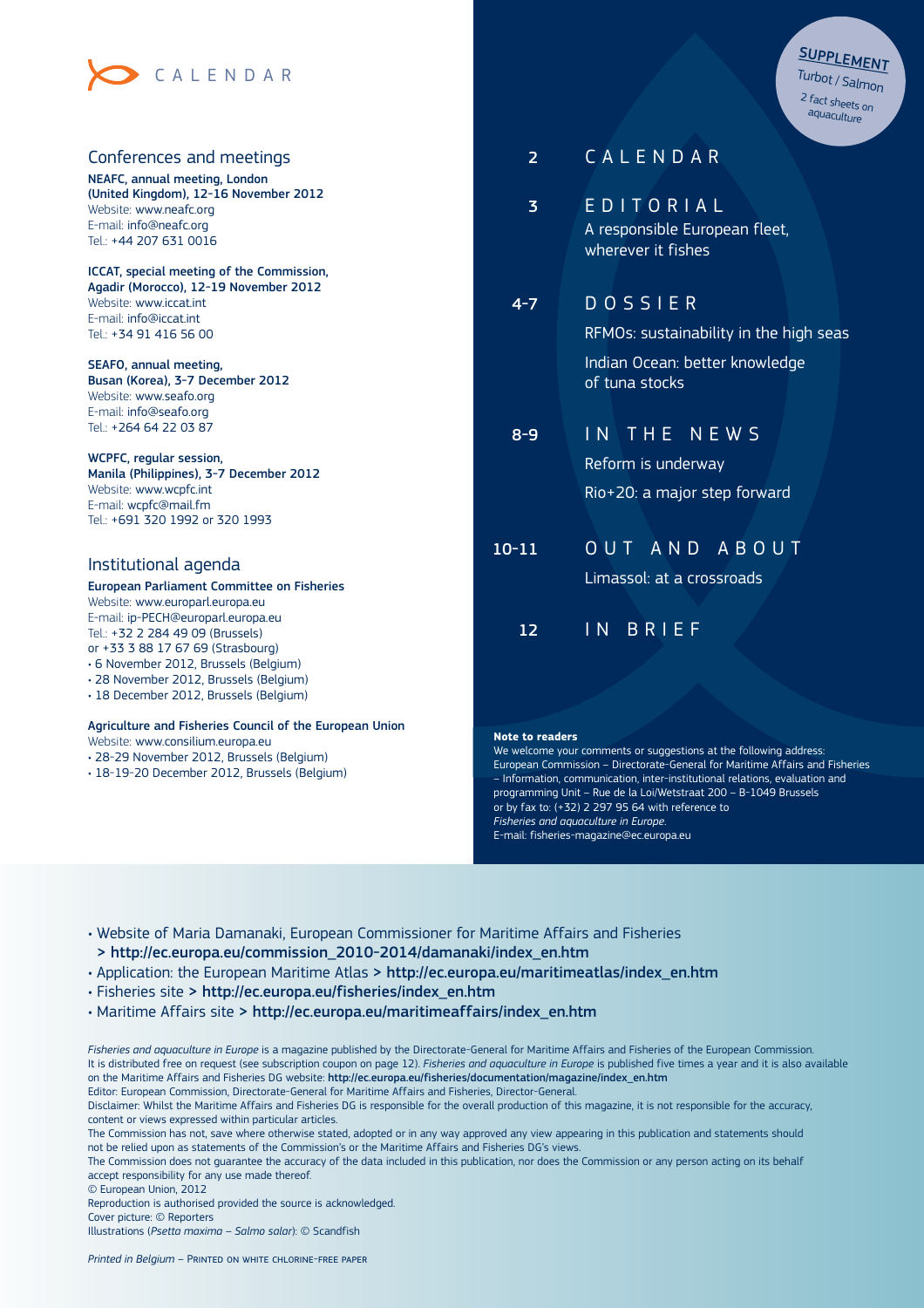

### Conferences and meetings

NEAFC, annual meeting, London (United Kingdom), 12-16 November 2012 Website: www.neafc.org E-mail: info@neafc.org Tel.: +44 207 631 0016

ICCAT, special meeting of the Commission, Agadir (Morocco), 12-19 November 2012 Website: www.iccat.int E-mail: info@iccat.int Tel.: +34 91 416 56 00

SEAFO, annual meeting, Busan (Korea), 3-7 December 2012 Website: www.seafo.org E-mail: info@seafo.org Tel.: +264 64 22 03 87

WCPFC, regular session, Manila (Philippines), 3-7 December 2012 Website: www.wcpfc.int E-mail: wcpfc@mail.fm Tel.: +691 320 1992 or 320 1993

### Institutional agenda

### European Parliament Committee on Fisheries

Website: www.europarl.europa.eu E-mail: ip-PECH@europarl.europa.eu Tel.: +32 2 284 49 09 (Brussels) or +33 3 88 17 67 69 (Strasbourg)

• 6 November 2012, Brussels (Belgium)

- 28 November 2012, Brussels (Belgium)
- 18 December 2012, Brussels (Belgium)

#### Agriculture and Fisheries Council of the European Union

Website: www.consilium.europa.eu

- 28-29 November 2012, Brussels (Belgium)
- 18-19-20 December 2012, Brussels (Belgium)

| Turbot / Salmon  |
|------------------|
| 2 fact sheets on |
| aquaculture      |
|                  |

SUPPLEMENT

| 2         | CALENDAR                                                                                              |
|-----------|-------------------------------------------------------------------------------------------------------|
| 3         | EDITORIAL<br>A responsible European fleet,<br>wherever it fishes                                      |
| $4 - 7$   | DOSSIER<br>RFMOs: sustainability in the high seas<br>Indian Ocean: better knowledge<br>of tuna stocks |
| $8 - 9$   | IN THE NEWS<br>Reform is underway<br>Rio+20: a major step forward                                     |
| $10 - 11$ | OUT AND ABOUT<br>Limassol: at a crossroads                                                            |
| 12        | <b>BRIEF</b><br>IN.                                                                                   |

#### **Note to readers**

We welcome your comments or suggestions at the following address: European Commission – Directorate-General for Maritime Affairs and Fisheries – Information, communication, inter-institutional relations, evaluation and programming Unit – Rue de la Loi/Wetstraat 200 – B-1049 Brussels or by fax to:  $(+32)$  2 297 95 64 with reference to *Fisheries and aquaculture in Europe*. E-mail: fisheries-magazine@ec.europa.eu

• Website of Maria Damanaki, European Commissioner for Maritime Affairs and Fisheries > http://ec.europa.eu/commission\_2010-2014/damanaki/index\_en.htm

• Application: the European Maritime Atlas > http://ec.europa.eu/maritimeatlas/index\_en.htm

- · Fisheries site > http://ec.europa.eu/fisheries/index\_en.htm
- Maritime Affairs site > http://ec.europa.eu/maritimeaffairs/index\_en.htm

*Fisheries and aquaculture in Europe* is a magazine published by the Directorate-General for Maritime Affairs and Fisheries of the European Commission. It is distributed free on request (see subscription coupon on page 12). *Fisheries and aquaculture in Europe* is published five times a year and it is also available on the Maritime Affairs and Fisheries DG website: http://ec.europa.eu/fisheries/documentation/magazine/index\_en.htm Editor: European Commission, Directorate-General for Maritime Affairs and Fisheries, Director-General.

Disclaimer: Whilst the Maritime Affairs and Fisheries DG is responsible for the overall production of this magazine, it is not responsible for the accuracy, content or views expressed within particular articles.

The Commission has not, save where otherwise stated, adopted or in any way approved any view appearing in this publication and statements should not be relied upon as statements of the Commission's or the Maritime Affairs and Fisheries DG's views.

The Commission does not guarantee the accuracy of the data included in this publication, nor does the Commission or any person acting on its behalf accept responsibility for any use made thereof.

© European Union, 2012

Reproduction is authorised provided the source is acknowledged. Cover picture: © Reporters Illustrations (*Psetta maxima – Salmo salar*): © Scandfish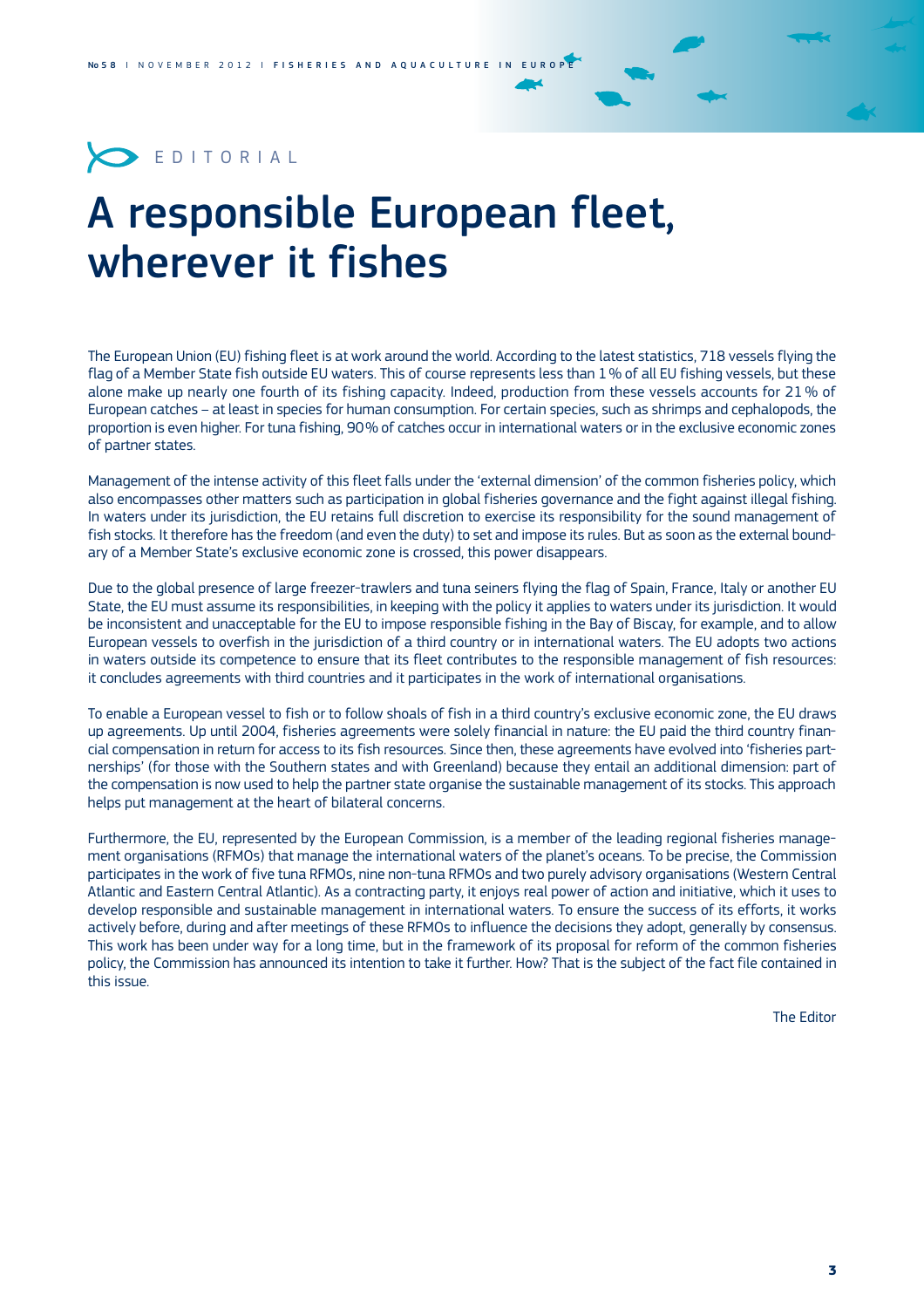

# A responsible European fleet, wherever it fishes

The European Union (EU) fishing fleet is at work around the world. According to the latest statistics, 718 vessels flying the flag of a Member State fish outside EU waters. This of course represents less than 1 % of all EU fishing vessels, but these alone make up nearly one fourth of its fishing capacity. Indeed, production from these vessels accounts for 21 % of European catches – at least in species for human consumption. For certain species, such as shrimps and cephalopods, the proportion is even higher. For tuna fishing, 90% of catches occur in international waters or in the exclusive economic zones of partner states.

Management of the intense activity of this fleet falls under the 'external dimension' of the common fisheries policy, which also encompasses other matters such as participation in global fisheries governance and the fight against illegal fishing. In waters under its jurisdiction, the EU retains full discretion to exercise its responsibility for the sound management of fish stocks. It therefore has the freedom (and even the duty) to set and impose its rules. But as soon as the external boundary of a Member State's exclusive economic zone is crossed, this power disappears.

Due to the global presence of large freezer-trawlers and tuna seiners flying the flag of Spain, France, Italy or another EU State, the EU must assume its responsibilities, in keeping with the policy it applies to waters under its jurisdiction. It would be inconsistent and unacceptable for the EU to impose responsible fishing in the Bay of Biscay, for example, and to allow European vessels to overfish in the jurisdiction of a third country or in international waters. The EU adopts two actions in waters outside its competence to ensure that its fleet contributes to the responsible management of fish resources: it concludes agreements with third countries and it participates in the work of international organisations.

To enable a European vessel to fish or to follow shoals of fish in a third country's exclusive economic zone, the EU draws up agreements. Up until 2004, fisheries agreements were solely financial in nature: the EU paid the third country financial compensation in return for access to its fish resources. Since then, these agreements have evolved into 'fisheries partnerships' (for those with the Southern states and with Greenland) because they entail an additional dimension: part of the compensation is now used to help the partner state organise the sustainable management of its stocks. This approach helps put management at the heart of bilateral concerns.

Furthermore, the EU, represented by the European Commission, is a member of the leading regional fisheries management organisations (RFMOs) that manage the international waters of the planet's oceans. To be precise, the Commission participates in the work of five tuna RFMOs, nine non-tuna RFMOs and two purely advisory organisations (Western Central Atlantic and Eastern Central Atlantic). As a contracting party, it enjoys real power of action and initiative, which it uses to develop responsible and sustainable management in international waters. To ensure the success of its efforts, it works actively before, during and after meetings of these RFMOs to influence the decisions they adopt, generally by consensus. This work has been under way for a long time, but in the framework of its proposal for reform of the common fisheries policy, the Commission has announced its intention to take it further. How? That is the subject of the fact file contained in this issue.

The Editor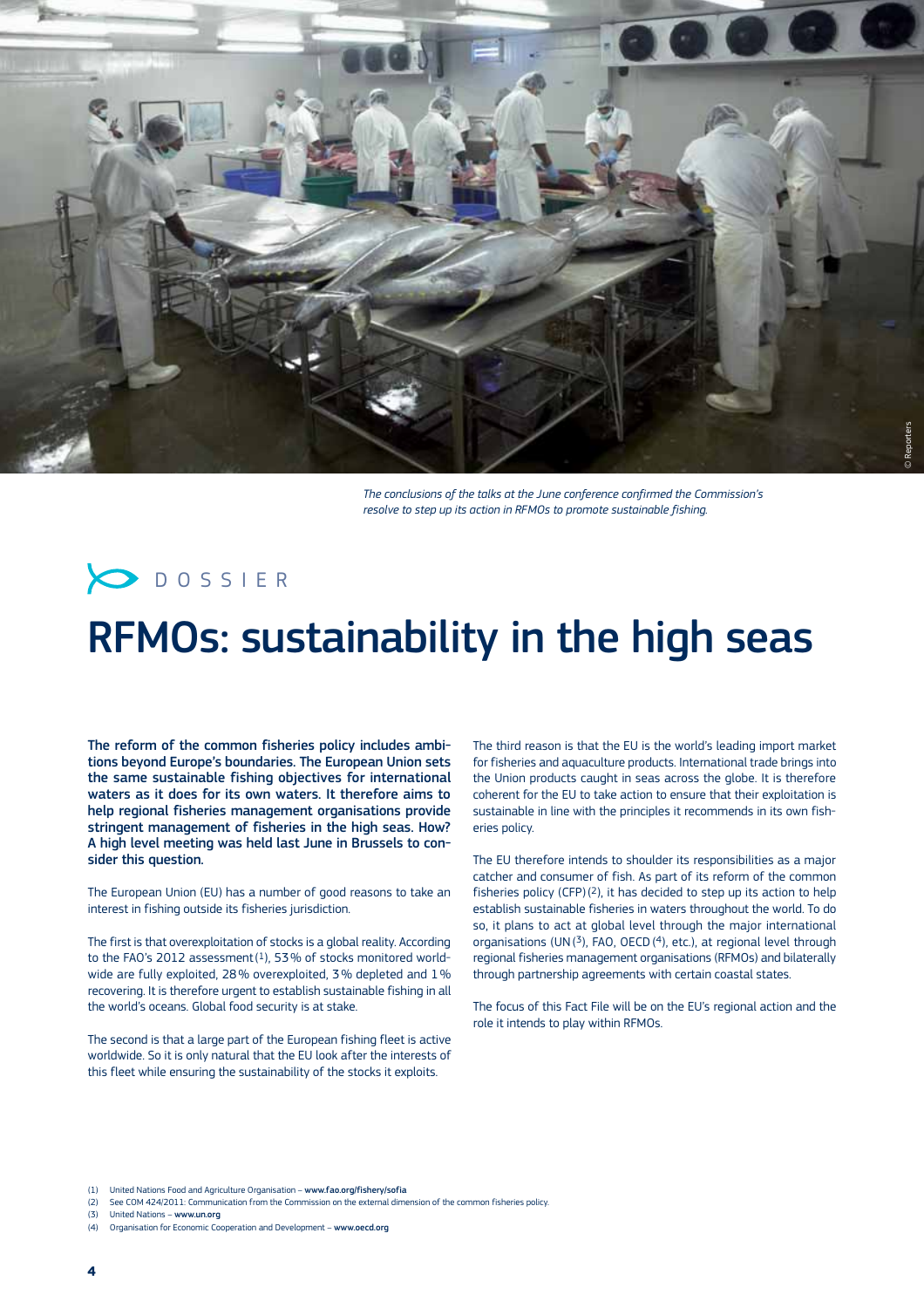

*The conclusions of the talks at the June conference confirmed the Commission's resolve to step up its action in RFMOs to promote sustainable fishing.*



# RFMOs: sustainability in the high seas

The reform of the common fisheries policy includes ambitions beyond Europe's boundaries. The European Union sets the same sustainable fishing objectives for international waters as it does for its own waters. It therefore aims to help regional fisheries management organisations provide stringent management of fisheries in the high seas. How? A high level meeting was held last June in Brussels to consider this question.

The European Union (EU) has a number of good reasons to take an interest in fishing outside its fisheries jurisdiction.

The first is that overexploitation of stocks is a global reality. According to the FAO's 2012 assessment $(1)$ , 53% of stocks monitored worldwide are fully exploited, 28% overexploited, 3% depleted and  $1\%$ recovering. It is therefore urgent to establish sustainable fishing in all the world's oceans. Global food security is at stake.

The second is that a large part of the European fishing fleet is active worldwide. So it is only natural that the EU look after the interests of this fleet while ensuring the sustainability of the stocks it exploits.

The third reason is that the EU is the world's leading import market for fisheries and aquaculture products. International trade brings into the Union products caught in seas across the globe. It is therefore coherent for the FU to take action to ensure that their exploitation is sustainable in line with the principles it recommends in its own fisheries policy.

The EU therefore intends to shoulder its responsibilities as a major catcher and consumer of fish. As part of its reform of the common fisheries policy (CFP) $(2)$ , it has decided to step up its action to help establish sustainable fisheries in waters throughout the world. To do so, it plans to act at global level through the major international organisations (UN(<sup>3</sup>), FAO, OECD(<sup>4</sup>), etc.), at regional level through regional fisheries management organisations (RFMOs) and bilaterally through partnership agreements with certain coastal states.

The focus of this Fact File will be on the EU's regional action and the role it intends to play within RFMOs.

(2) See COM 424/2011: Communication from the Commission on the external dimension of the common fisheries policy

<sup>(1)</sup> United Nations Food and Agriculture Organisation - www.fao.org/fishery/sofia

<sup>(3)</sup> United Nations - www.un.org

<sup>(4)</sup> Organisation for Economic Cooperation and Development - www.oecd.org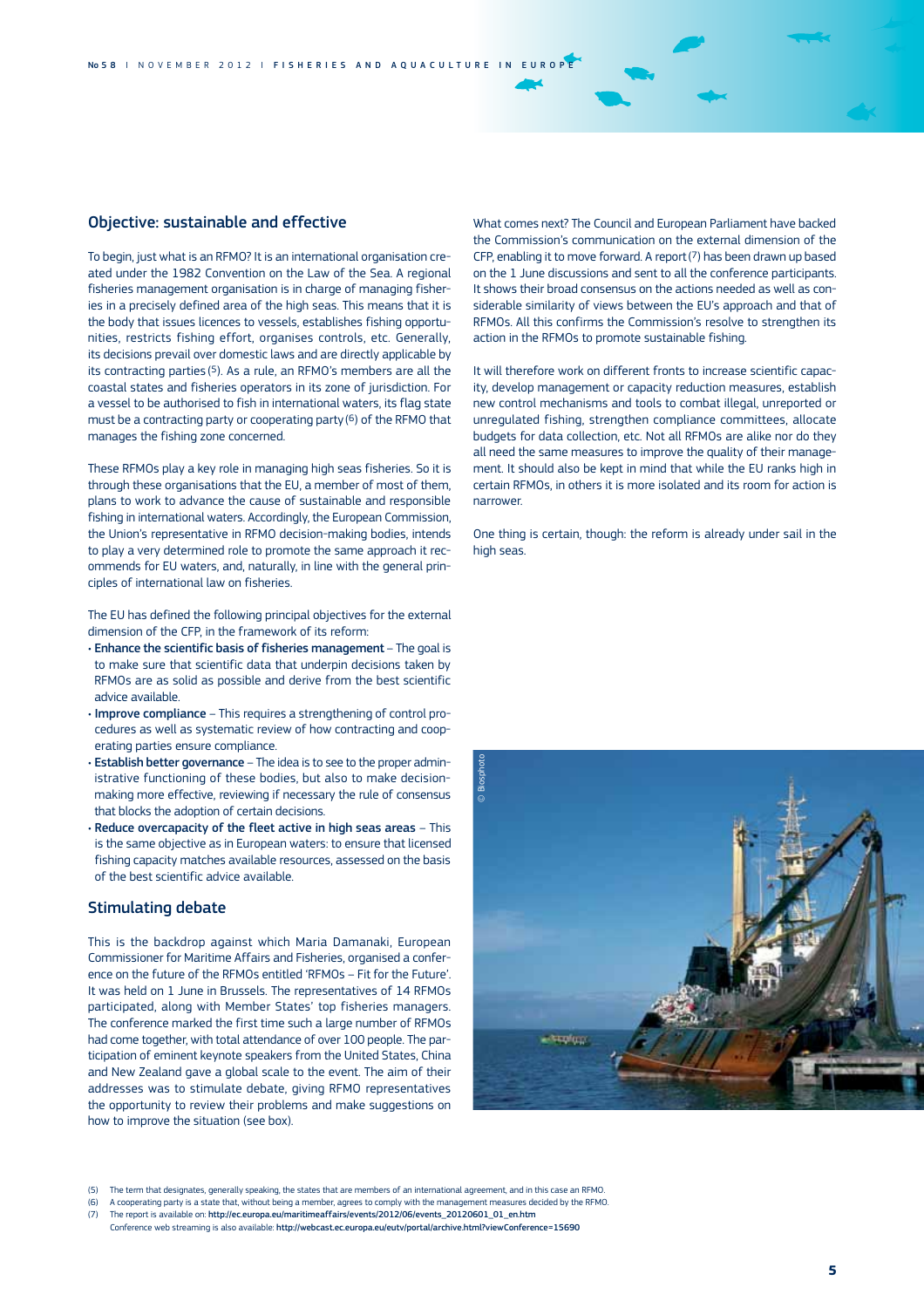### Objective: sustainable and effective

To begin, just what is an RFMO? It is an international organisation created under the 1982 Convention on the Law of the Sea. A regional fisheries management organisation is in charge of managing fisheries in a precisely defined area of the high seas. This means that it is the body that issues licences to vessels, establishes fishing opportunities, restricts fishing effort, organises controls, etc. Generally, its decisions prevail over domestic laws and are directly applicable by its contracting parties (5). As a rule, an RFMO's members are all the coastal states and fisheries operators in its zone of jurisdiction. For a vessel to be authorised to fish in international waters, its flag state must be a contracting party or cooperating party  $(6)$  of the RFMO that manages the fishing zone concerned.

These RFMOs play a key role in managing high seas fisheries. So it is through these organisations that the EU, a member of most of them, plans to work to advance the cause of sustainable and responsible fishing in international waters. Accordingly, the European Commission, the Union's representative in RFMO decision-making bodies, intends to play a very determined role to promote the same approach it recommends for EU waters, and, naturally, in line with the general principles of international law on fisheries.

The EU has defined the following principal objectives for the external dimension of the CFP, in the framework of its reform:

- $\cdot$  Enhance the scientific basis of fisheries management The goal is to make sure that scientific data that underpin decisions taken by RFMOs are as solid as possible and derive from the best scientific advice available.
- Improve compliance This requires a strengthening of control procedures as well as systematic review of how contracting and cooperating parties ensure compliance.
- Establish better governance The idea is to see to the proper administrative functioning of these bodies, but also to make decisionmaking more effective, reviewing if necessary the rule of consensus that blocks the adoption of certain decisions.
- $\cdot$  Reduce overcapacity of the fleet active in high seas areas This is the same objective as in European waters: to ensure that licensed fishing capacity matches available resources, assessed on the basis of the best scientific advice available.

### Stimulating debate

This is the backdrop against which Maria Damanaki, European Commissioner for Maritime Affairs and Fisheries, organised a conference on the future of the RFMOs entitled 'RFMOs - Fit for the Future' It was held on 1 June in Brussels. The representatives of 14 RFMOs participated, along with Member States' top fisheries managers. The conference marked the first time such a large number of RFMOs had come together, with total attendance of over 100 people. The participation of eminent keynote speakers from the United States, China and New Zealand gave a global scale to the event. The aim of their addresses was to stimulate debate, giving RFMO representatives the opportunity to review their problems and make suggestions on how to improve the situation (see box).

What comes next? The Council and European Parliament have backed the Commission's communication on the external dimension of the CFP, enabling it to move forward. A report (7) has been drawn up based on the 1 June discussions and sent to all the conference participants. It shows their broad consensus on the actions needed as well as considerable similarity of views between the EU's approach and that of RFMOs. All this confirms the Commission's resolve to strengthen its action in the RFMOs to promote sustainable fishing.

It will therefore work on different fronts to increase scientific capacity, develop management or capacity reduction measures, establish new control mechanisms and tools to combat illegal, unreported or unregulated fishing, strengthen compliance committees, allocate budgets for data collection, etc. Not all RFMOs are alike nor do they all need the same measures to improve the quality of their management. It should also be kept in mind that while the EU ranks high in certain RFMOs, in others it is more isolated and its room for action is narrower.

One thing is certain, though: the reform is already under sail in the high seas.



<sup>(5)</sup> The term that designates, generally speaking, the states that are members of an international agreement, and in this case an RFMO.

- (6) A cooperating party is a state that, without being a member, agrees to comply with the management measures decided by the RFMO.
- (7) The report is available on: http://ec.europa.eu/maritimeaffairs/events/2012/06/events\_20120601\_01\_en.htm
- Conference web streaming is also available: http://webcast.ec.europa.eu/eutv/portal/archive.html?viewConference=15690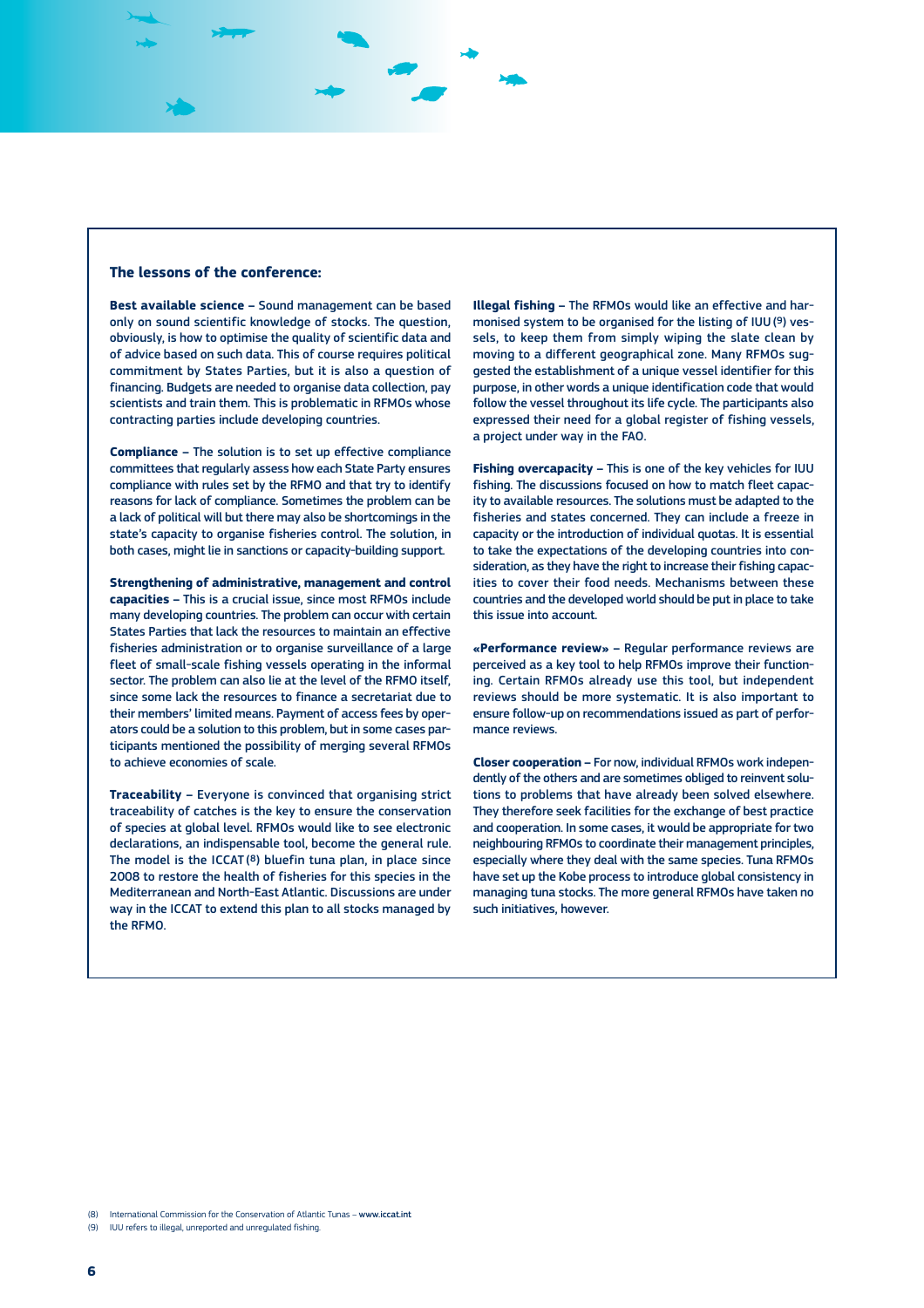### **The lessons of the conference:**

**Best available science –** Sound management can be based only on sound scientific knowledge of stocks. The question, obviously, is how to optimise the quality of scientific data and of advice based on such data. This of course requires political commitment by States Parties, but it is also a question of financing. Budgets are needed to organise data collection, pay scientists and train them. This is problematic in RFMOs whose contracting parties include developing countries.

**Compliance –** The solution is to set up effective compliance committees that regularly assess how each State Party ensures compliance with rules set by the RFMO and that try to identify reasons for lack of compliance. Sometimes the problem can be a lack of political will but there may also be shortcomings in the state's capacity to organise fisheries control. The solution, in both cases, might lie in sanctions or capacity-building support.

**Strengthening of administrative, management and control capacities –** This is a crucial issue, since most RFMOs include many developing countries. The problem can occur with certain States Parties that lack the resources to maintain an effective fisheries administration or to organise surveillance of a large fleet of small-scale fishing vessels operating in the informal sector. The problem can also lie at the level of the RFMO itself, since some lack the resources to finance a secretariat due to their members' limited means. Payment of access fees by operators could be a solution to this problem, but in some cases participants mentioned the possibility of merging several RFMOs to achieve economies of scale.

**Traceability –** Everyone is convinced that organising strict traceability of catches is the key to ensure the conservation of species at global level. RFMOs would like to see electronic declarations, an indispensable tool, become the general rule. The model is the ICCAT (8) bluefin tuna plan, in place since 2008 to restore the health of fisheries for this species in the Mediterranean and North-East Atlantic. Discussions are under way in the ICCAT to extend this plan to all stocks managed by the RFMO.

**Illegal fishing –** The RFMOs would like an effective and harmonised system to be organised for the listing of IUU (9) vessels, to keep them from simply wiping the slate clean by moving to a different geographical zone. Many RFMOs suggested the establishment of a unique vessel identifier for this purpose, in other words a unique identification code that would follow the vessel throughout its life cycle. The participants also expressed their need for a global register of fishing vessels, a project under way in the FAO.

**Fishing overcapacity –** This is one of the key vehicles for IUU fishing. The discussions focused on how to match fleet capacity to available resources. The solutions must be adapted to the fisheries and states concerned. They can include a freeze in capacity or the introduction of individual quotas. It is essential to take the expectations of the developing countries into consideration, as they have the right to increase their fishing capacities to cover their food needs. Mechanisms between these countries and the developed world should be put in place to take this issue into account.

**«Performance review» –** Regular performance reviews are perceived as a key tool to help RFMOs improve their functioning. Certain RFMOs already use this tool, but independent reviews should be more systematic. It is also important to ensure follow-up on recommendations issued as part of performance reviews.

**Closer cooperation –** For now, individual RFMOs work independently of the others and are sometimes obliged to reinvent solutions to problems that have already been solved elsewhere. They therefore seek facilities for the exchange of best practice and cooperation. In some cases, it would be appropriate for two neighbouring RFMOs to coordinate their management principles, especially where they deal with the same species. Tuna RFMOs have set up the Kobe process to introduce global consistency in managing tuna stocks. The more general RFMOs have taken no such initiatives, however.

<sup>(8)</sup> International Commission for the Conservation of Atlantic Tunas - www.iccat.int

<sup>(9)</sup> IUU refers to illegal, unreported and unregulated fishing.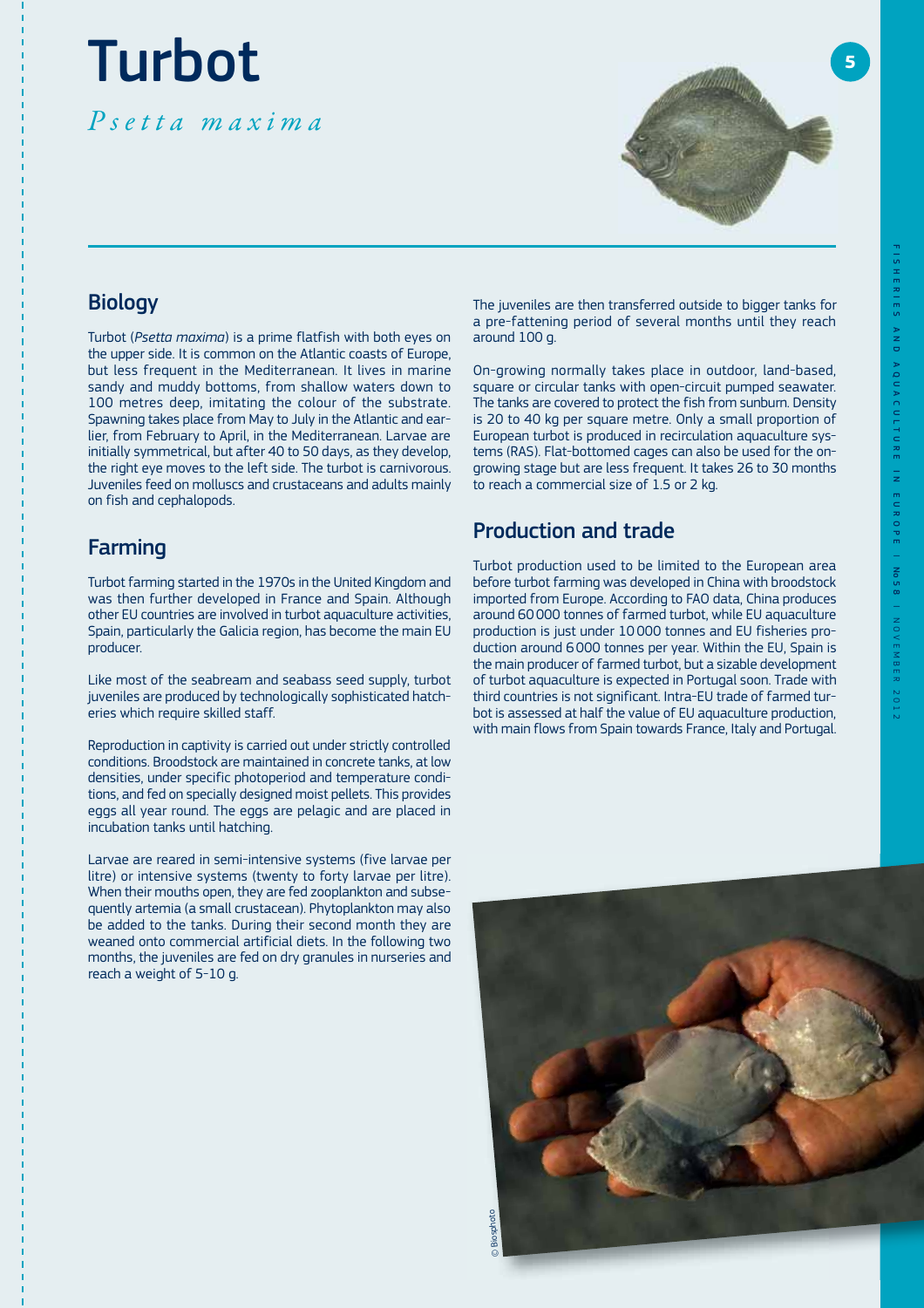# Turbot

Psetta maxima



### **Biology**

Turbot (*Psetta maxima*) is a prime flatfish with both eyes on the upper side. It is common on the Atlantic coasts of Europe, but less frequent in the Mediterranean. It lives in marine sandy and muddy bottoms, from shallow waters down to 100 metres deep, imitating the colour of the substrate. Spawning takes place from May to July in the Atlantic and earlier, from February to April, in the Mediterranean. Larvae are initially symmetrical, but after 40 to 50 days, as they develop, the right eye moves to the left side. The turbot is carnivorous. Juveniles feed on molluscs and crustaceans and adults mainly on fish and cephalopods.

### Farming

Turbot farming started in the 1970s in the United Kingdom and was then further developed in France and Spain. Although other EU countries are involved in turbot aquaculture activities, Spain, particularly the Galicia region, has become the main EU producer.

Like most of the seabream and seabass seed supply, turbot juveniles are produced by technologically sophisticated hatcheries which require skilled staff.

Reproduction in captivity is carried out under strictly controlled conditions. Broodstock are maintained in concrete tanks, at low densities, under specific photoperiod and temperature conditions, and fed on specially designed moist pellets. This provides eggs all year round. The eggs are pelagic and are placed in incubation tanks until hatching.

Larvae are reared in semi-intensive systems (five larvae per litre) or intensive systems (twenty to forty larvae per litre). When their mouths open, they are fed zooplankton and subsequently artemia (a small crustacean). Phytoplankton may also be added to the tanks. During their second month they are weaned onto commercial artificial diets. In the following two months, the juveniles are fed on dry granules in nurseries and reach a weight of 5-10 g.

The juveniles are then transferred outside to bigger tanks for a pre-fattening period of several months until they reach around 100 g.

On-growing normally takes place in outdoor, land-based, square or circular tanks with open-circuit pumped seawater. The tanks are covered to protect the fish from sunburn. Density is 20 to 40 kg per square metre. Only a small proportion of European turbot is produced in recirculation aquaculture systems (RAS). Flat-bottomed cages can also be used for the ongrowing stage but are less frequent. It takes 26 to 30 months to reach a commercial size of 1.5 or 2 kg.

## Production and trade

Turbot production used to be limited to the European area before turbot farming was developed in China with broodstock imported from Europe. According to FAO data, China produces around 60 000 tonnes of farmed turbot, while EU aquaculture production is just under 10 000 tonnes and EU fisheries production around 6 000 tonnes per year. Within the EU, Spain is the main producer of farmed turbot, but a sizable development of turbot aquaculture is expected in Portugal soon. Trade with third countries is not significant. Intra-EU trade of farmed turbot is assessed at half the value of EU aquaculture production, with main flows from Spain towards France, Italy and Portugal.

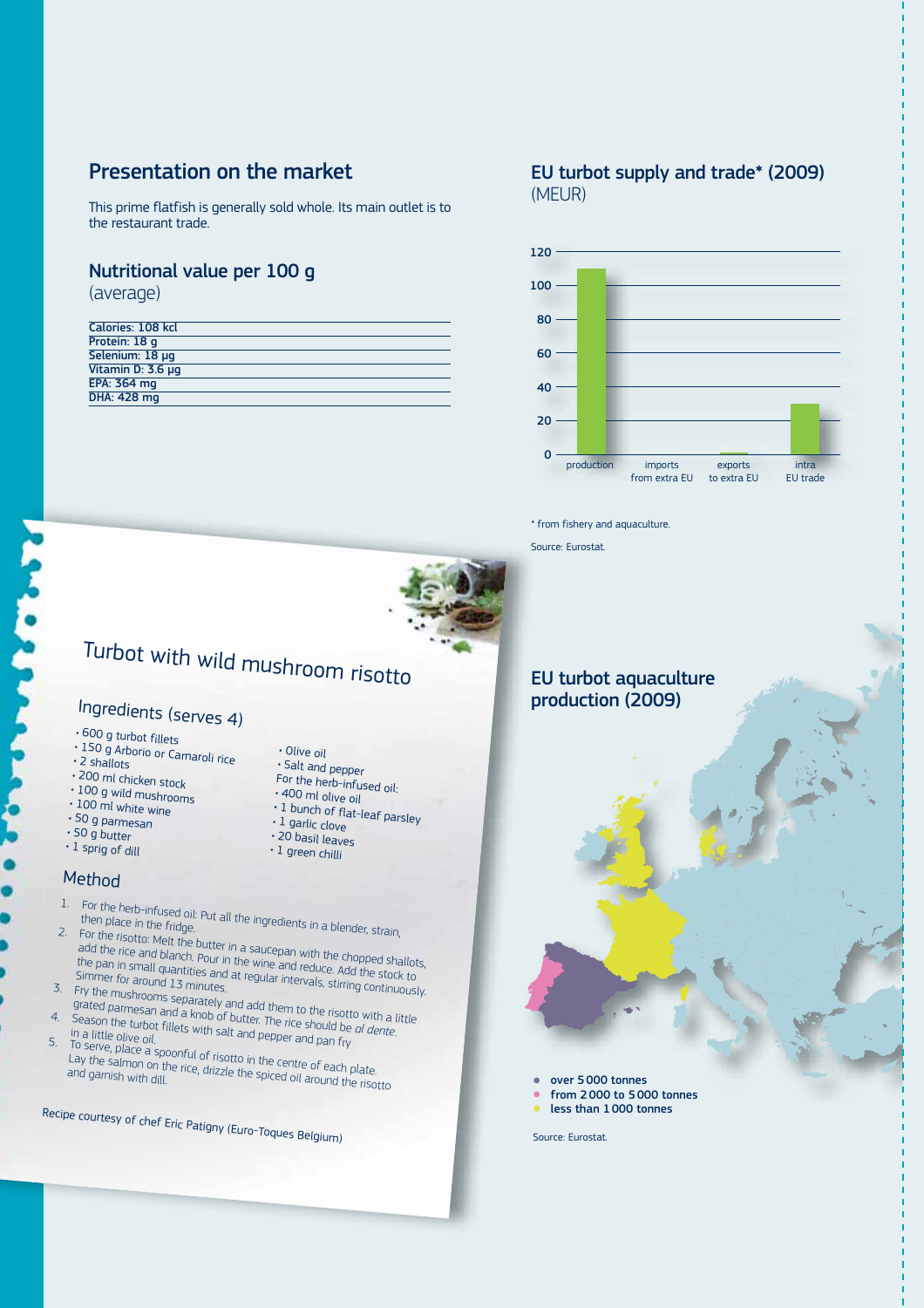### Presentation on the market

This prime flatfish is generally sold whole. Its main outlet is to the restaurant trade.

### Nutritional value per 100 g

(average)

| Calories: 108 kcl  |
|--------------------|
| Protein: 18 g      |
| Selenium: 18 µg    |
| Vitamin D: 3.6 µg  |
| EPA: 364 mg        |
| <b>DHA: 428 mg</b> |
|                    |

### EU turbot supply and trade\* (2009) (MEUR)



\* from fishery and aquaculture.

Source: Eurostat.



# Turbot with wild mushroom risotto

• Olive oil<br>• Salt and pepper

· 400 ml olive oil

 $\cdot$  1 garlic clove

· 20 basil leaves

· 1 green chilli

For the herb-infused oil:

of the one one of the flat-leaf parsley

# Ingredients (serves 4)

- · 600 g turbot fillets
- 150 g Arborio or Carnaroli rice<br>• 2 shallots b⊜s balt and pepper<br>• 200 pd b↓
- 
- . 200 ml chicken stock
- blood g wild mushrooms
- $\cdot$  100 ml white wine
- $\cdot$  50 g parmesan
- $\cdot$  50 g butter
- $\cdot$  1 sprig of dill

### Method

- 
- 1. For the herb-infused oil: Put all the ingredients in a blender, strain,<br>then place in the fridge.<br>. For the risotte M. Li For the risotto: Melt the butter in a saucepan with the chopped shallots,

Tor the risotto, meteorete and states and sucception with and chopped smaller.<br>Add the rice and blanch. Pour in the wine and reduce. Add the stock to the pan in small quantities and at regular intervals and political slights.<br>Simmer for around 13 minutes, and at regular intervals, stirring continuously.<br>Fry the mushrooms as

- 3. Fry the mushrooms separately and add them to the risotto with a little<br>grated parmesan and a knob of butter. The rice should be of detail in Season the trial is one. grated parmesan and a knob of butter. The rice should be *al dente*.
- 4. Season the turbot fillets with salt and pepper and pan fry<br>5. To sarve plive oil. in a little olive oil.<br>To serve, place a spoonful of risotto in the centre of each plate.
- Lay the salmon on the rice, drizzle the spiced oil around the risotto and garnish with dill.

Recipe courtesy of chef Eric Patigny (Euro-Toques Belgium)

### EU turbot aquaculture production (2009)



- from 2 000 to 5 000 tonnes
- less than 1 000 tonnes

Source: Eurostat.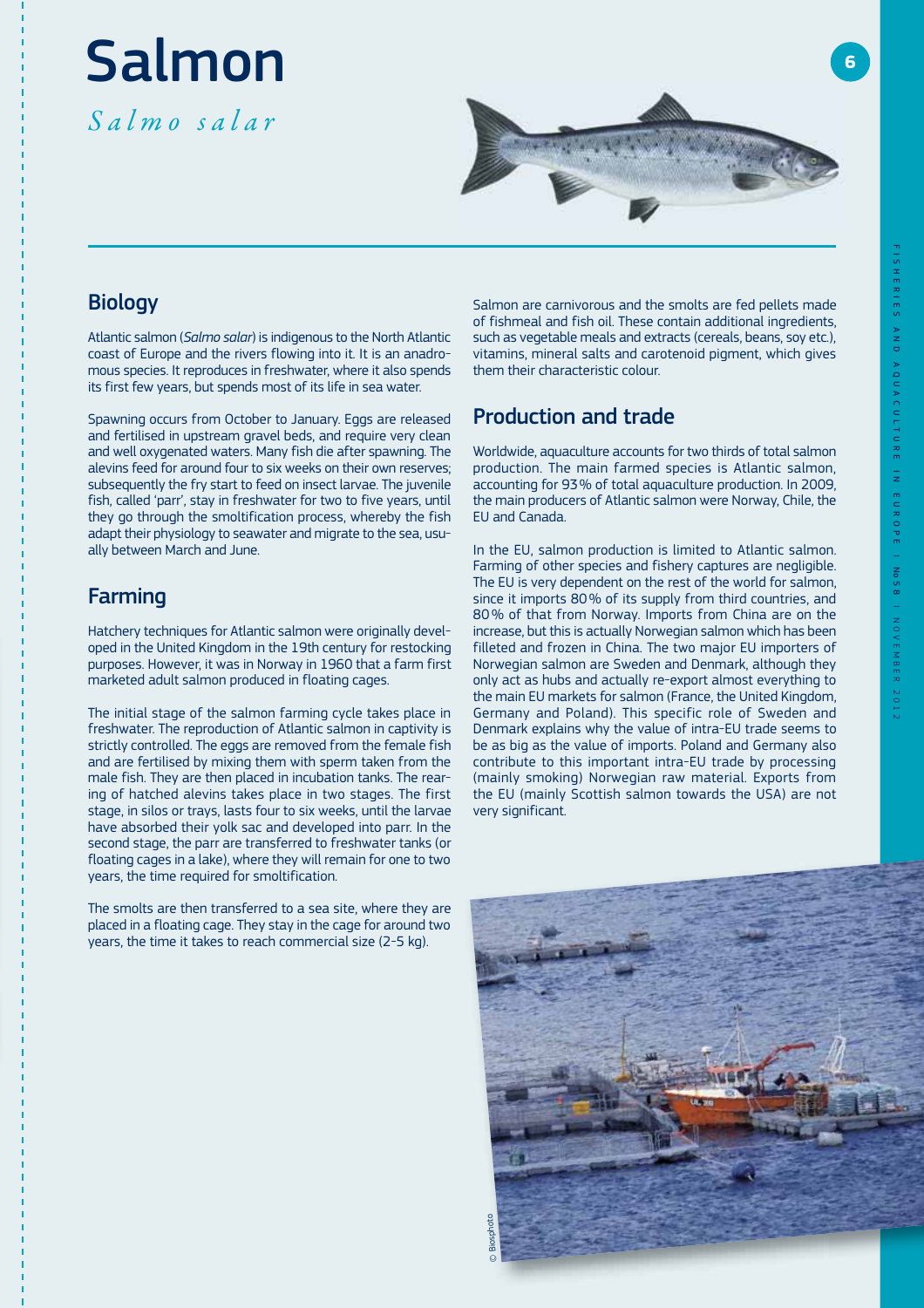# Salmon

Salmo salar



### **Biology**

Atlantic salmon (*Salmo salar*) is indigenous to the North Atlantic coast of Europe and the rivers flowing into it. It is an anadromous species. It reproduces in freshwater, where it also spends its first few years, but spends most of its life in sea water.

Spawning occurs from October to January. Eggs are released and fertilised in upstream gravel beds, and require very clean and well oxygenated waters. Many fish die after spawning. The alevins feed for around four to six weeks on their own reserves; subsequently the fry start to feed on insect larvae. The juvenile fish, called 'parr', stay in freshwater for two to five years, until they go through the smoltification process, whereby the fish adapt their physiology to seawater and migrate to the sea, usually between March and June.

### Farming

Hatchery techniques for Atlantic salmon were originally developed in the United Kingdom in the 19th century for restocking purposes. However, it was in Norway in 1960 that a farm first marketed adult salmon produced in floating cages.

The initial stage of the salmon farming cycle takes place in freshwater. The reproduction of Atlantic salmon in captivity is strictly controlled. The eggs are removed from the female fish and are fertilised by mixing them with sperm taken from the male fish. They are then placed in incubation tanks. The rearing of hatched alevins takes place in two stages. The first stage, in silos or trays, lasts four to six weeks, until the larvae have absorbed their yolk sac and developed into parr. In the second stage, the parr are transferred to freshwater tanks (or floating cages in a lake), where they will remain for one to two years, the time required for smoltification.

The smolts are then transferred to a sea site, where they are placed in a floating cage. They stay in the cage for around two years, the time it takes to reach commercial size (2-5 kg).

Salmon are carnivorous and the smolts are fed pellets made of fishmeal and fish oil. These contain additional ingredients, such as vegetable meals and extracts (cereals, beans, soy etc.), vitamins, mineral salts and carotenoid pigment, which gives them their characteristic colour.

### Production and trade

Worldwide, aquaculture accounts for two thirds of total salmon production. The main farmed species is Atlantic salmon, accounting for 93 % of total aquaculture production. In 2009, the main producers of Atlantic salmon were Norway, Chile, the EU and Canada.

In the EU, salmon production is limited to Atlantic salmon. Farming of other species and fishery captures are negligible. The EU is very dependent on the rest of the world for salmon, since it imports 80 % of its supply from third countries, and 80 % of that from Norway. Imports from China are on the increase, but this is actually Norwegian salmon which has been filleted and frozen in China. The two major EU importers of Norwegian salmon are Sweden and Denmark, although they only act as hubs and actually re-export almost everything to the main EU markets for salmon (France, the United Kingdom, Germany and Poland). This specific role of Sweden and Denmark explains why the value of intra-EU trade seems to be as big as the value of imports. Poland and Germany also contribute to this important intra-EU trade by processing (mainly smoking) Norwegian raw material. Exports from the EU (mainly Scottish salmon towards the USA) are not very significant.

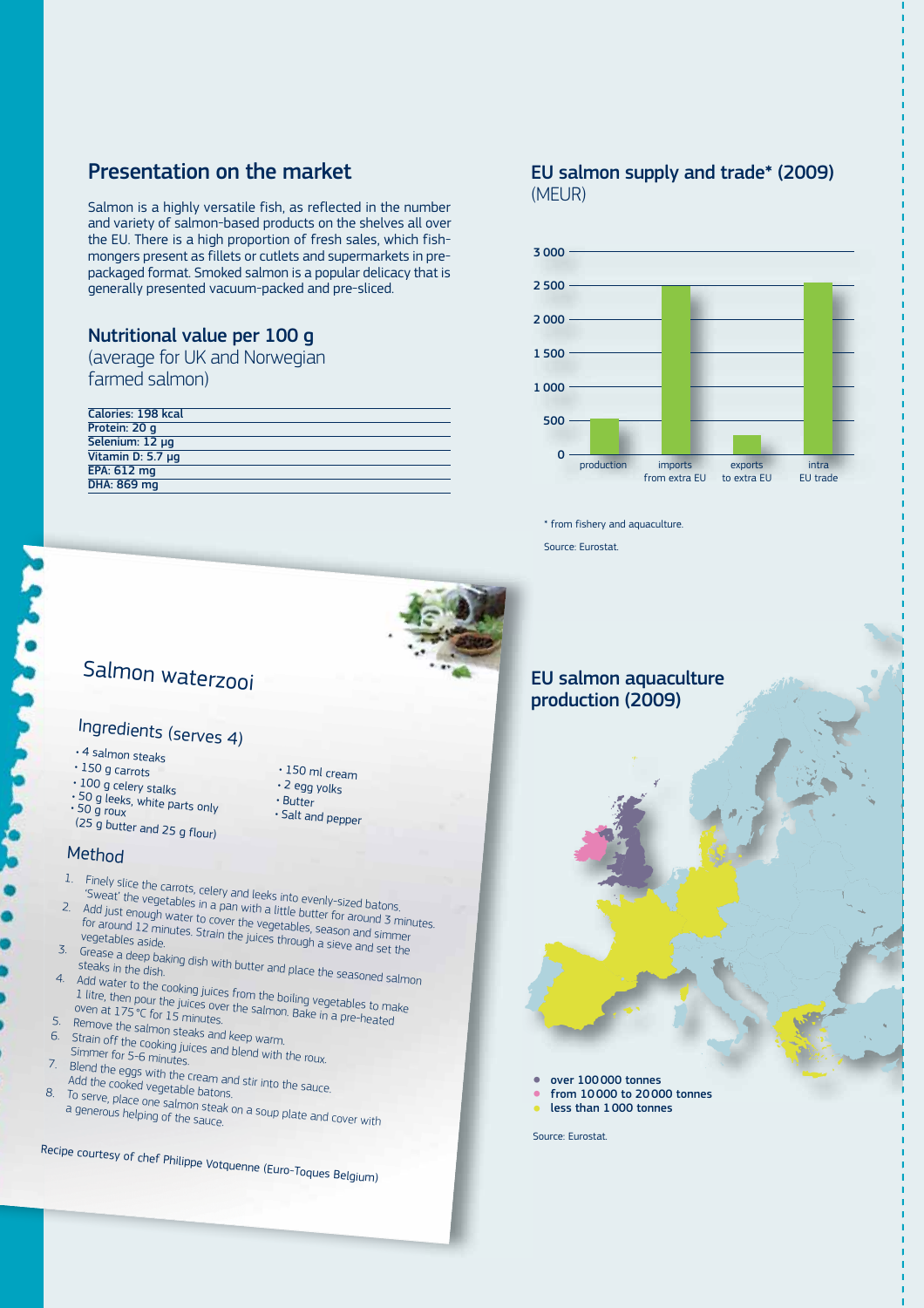### Presentation on the market

Salmon is a highly versatile fish, as reflected in the number and variety of salmon-based products on the shelves all over the EU. There is a high proportion of fresh sales, which fishmongers present as fillets or cutlets and supermarkets in prepackaged format. Smoked salmon is a popular delicacy that is generally presented vacuum-packed and pre-sliced.

### Nutritional value per 100 g

(average for UK and Norwegian farmed salmon)

| Calories: 198 kcal |  |
|--------------------|--|
| Protein: 20 q      |  |
| Selenium: 12 µq    |  |
| Vitamin D: 5.7 µg  |  |
| <b>EPA: 612 mg</b> |  |
| DHA: 869 mg        |  |

### EU salmon supply and trade\* (2009) (MEUR)



\* from fishery and aquaculture. Source: Eurostat.

EU salmon aquaculture

production (2009)



# Salmon waterzooi

# Ingredients (serves 4)

- · 4 salmon steaks
- $\cdot$  150 g carrots
- $\cdot$  100 g celery stalks
- body below, stated<br>50 g leeks, white parts only<br>50 g roux
- 50 g roux<br>(25 g button and pepper both salt and pepper
- (25 g butter and 25 g flour)

### **Method**

- 
- 1. Finely slice the carrots, celery and leeks into evenly-sized batons. 'Sweat' the vegetables in a pan with a little butter for around 3 minutes. 2. Add just enough water to cover the vegetables, season and similar for around 3 minimer of an ough water to cover the vegetables, season and simmer vegetables, season and simmer vegetables aside. for around 12 minutes. Strain the juices through a sieve and set the

 $\cdot$  150 ml cream · 2 egg yolks

• Butter<br>• Salt and pepper

- 3. Grease a deep baking dish with butter and place the seasoned salmon<br>steaks in the dish.<br>4. Add water to the seasoned salmon
- 4. Add water to the cooking juices from the boiling vegetables to make<br>1 litre, then pour the juices over the salmon. Bake in a pre-heated<br>oven at 175 °C for 15 minutes 1 litre, then part cooking juices from the boiling vegetables to ma<br>oven at 175 °C for 15 minutes.<br>Bemove the stated Bolling and the salmon. Bake in a pre-heated
- 
- 
- 5. Remove the salmon steaks and keep warm.<br>6. Strain off the cooking juices and blend with.<br>Simmer for 5-6 minutes. 6. Strain off the cooking juices and keep warm.<br>Simmer for 5-6 minutes.<br>The roux. In the roux.
- 7. Blend the eggs with the cream and stir into the sauce.<br>Add the cooked vegetable batons.<br>3. To senyo pla
- 8. To serve, place one salmon steak on a soup plate and cover with a generous helping of the sauce.

Recipe courtesy of chef Philippe Votquenne (Euro-Toques Belgium)

- over 100 000 tonnes
- from 10 000 to 20 000 tonnes
- less than 1 000 tonnes

Source: Eurostat.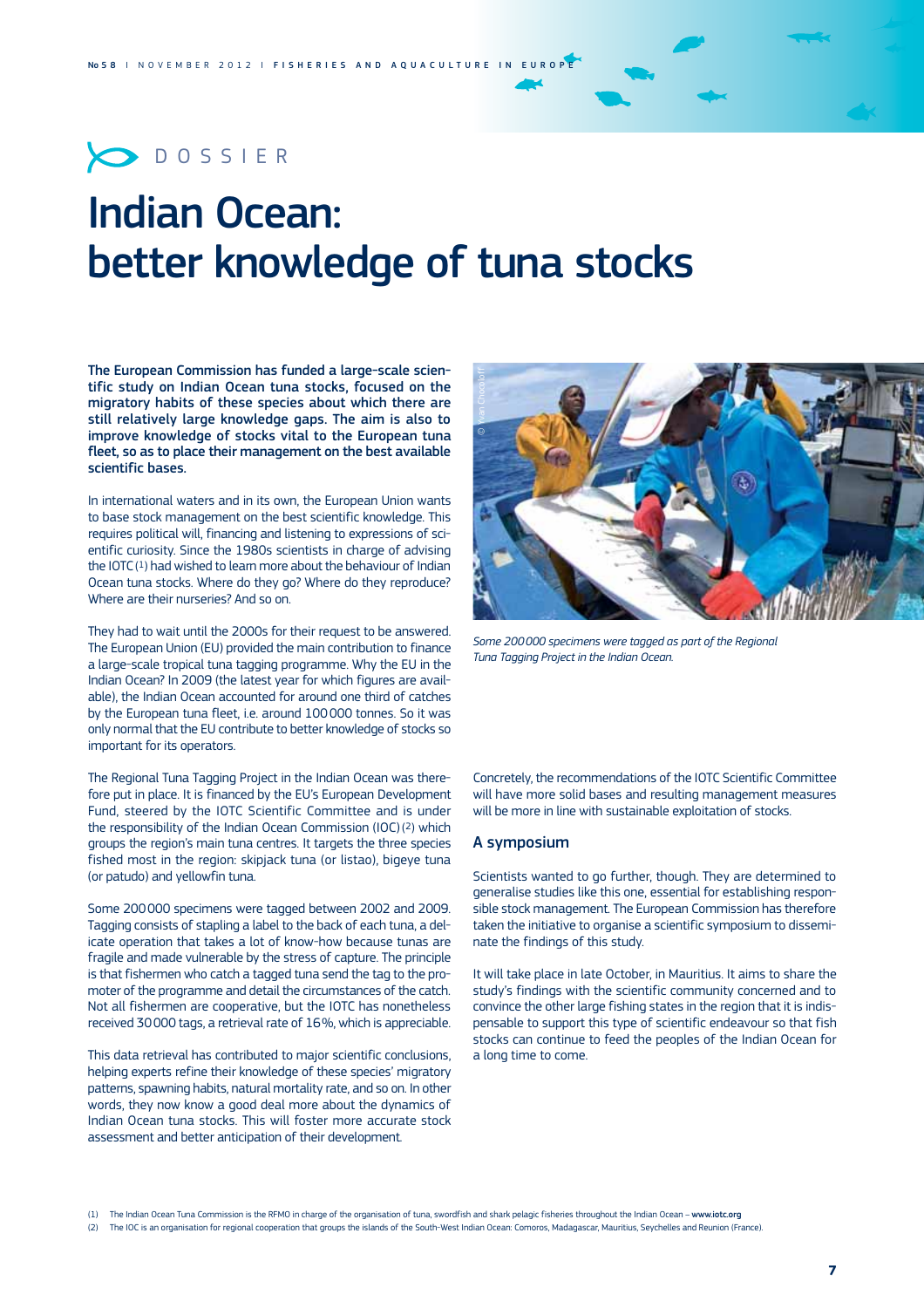# $\bigcirc$  DOSSIER

# Indian Ocean: better knowledge of tuna stocks

The European Commission has funded a large-scale scientific study on Indian Ocean tuna stocks, focused on the migratory habits of these species about which there are still relatively large knowledge gaps. The aim is also to improve knowledge of stocks vital to the European tuna fleet, so as to place their management on the best available scientific bases.

In international waters and in its own, the European Union wants to base stock management on the best scientific knowledge. This requires political will, financing and listening to expressions of scientific curiosity. Since the 1980s scientists in charge of advising the IOTC $(1)$  had wished to learn more about the behaviour of Indian Ocean tuna stocks. Where do they go? Where do they reproduce? Where are their nurseries? And so on.

They had to wait until the 2000s for their request to be answered. The European Union (EU) provided the main contribution to finance a large-scale tropical tuna tagging programme. Why the EU in the Indian Ocean? In 2009 (the latest vear for which figures are available), the Indian Ocean accounted for around one third of catches by the European tuna fleet, i.e. around 100000 tonnes. So it was only normal that the EU contribute to better knowledge of stocks so important for its operators.

The Regional Tuna Tagging Project in the Indian Ocean was therefore put in place. It is financed by the EU's European Development Fund, steered by the IOTC Scientific Committee and is under the responsibility of the Indian Ocean Commission (IOC) (2) which aroups the region's main tuna centres. It targets the three species fished most in the region: skipjack tuna (or listao), bigeye tuna (or patudo) and yellowfin tuna.

Some 200 000 specimens were tagged between 2002 and 2009. Tagging consists of stapling a label to the back of each tuna, a delicate operation that takes a lot of know-how because tunas are fragile and made vulnerable by the stress of capture. The principle is that fishermen who catch a tagged tuna send the tag to the promoter of the programme and detail the circumstances of the catch. Not all fishermen are cooperative, but the IOTC has nonetheless received 30 000 tags, a retrieval rate of 16%, which is appreciable.

This data retrieval has contributed to major scientific conclusions, helping experts refine their knowledge of these species' migratory patterns, spawning habits, natural mortality rate, and so on. In other words, they now know a good deal more about the dynamics of Indian Ocean tuna stocks. This will foster more accurate stock assessment and better anticipation of their development.



*Some 200 000 specimens were tagged as part of the Regional Tuna Tagging Project in the Indian Ocean.* 

Concretely, the recommendations of the IOTC Scientific Committee will have more solid hases and resulting management measures will be more in line with sustainable exploitation of stocks.

### A symposium

Scientists wanted to go further, though. They are determined to generalise studies like this one, essential for establishing responsible stock management. The European Commission has therefore taken the initiative to organise a scientific symposium to disseminate the findings of this study.

It will take place in late October, in Mauritius. It aims to share the study's findings with the scientific community concerned and to convince the other large fishing states in the region that it is indispensable to support this type of scientific endeavour so that fish stocks can continue to feed the peoples of the Indian Ocean for a long time to come.

(2) The IOC is an organisation for regional cooperation that groups the islands of the South-West Indian Ocean: Comoros, Madagascar, Mauritius, Seychelles and Reunion (France).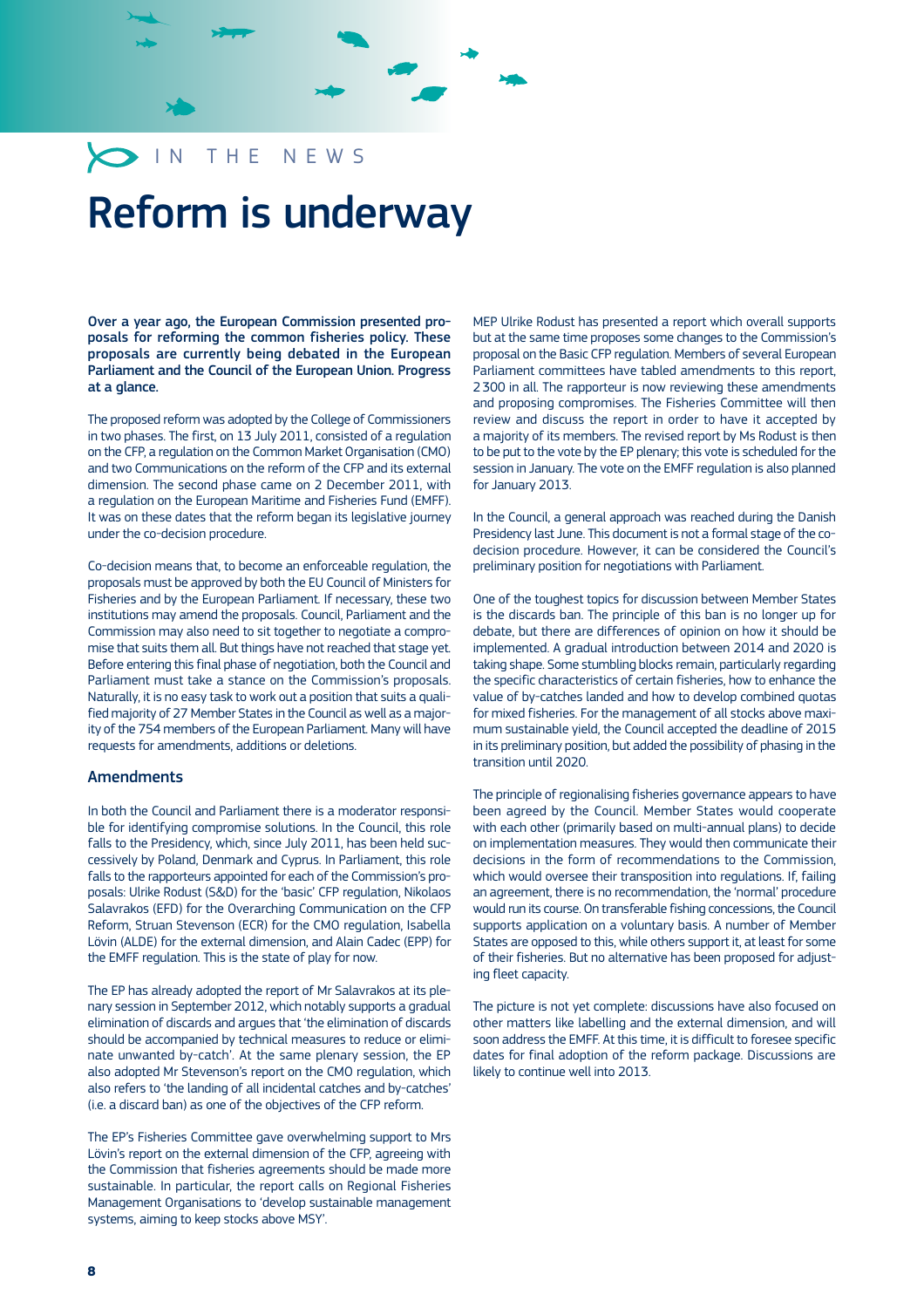# IN THE NEWS

# Reform is underway

Over a year ago, the European Commission presented proposals for reforming the common fisheries policy. These proposals are currently being debated in the European Parliament and the Council of the European Union. Progress at a glance.

The proposed reform was adopted by the College of Commissioners in two phases. The first, on 13 July 2011, consisted of a regulation on the CFP, a regulation on the Common Market Organisation (CMO) and two Communications on the reform of the CFP and its external dimension. The second phase came on 2 December 2011, with a regulation on the European Maritime and Fisheries Fund (EMFF). It was on these dates that the reform began its legislative journey under the co-decision procedure.

Co-decision means that, to become an enforceable regulation, the proposals must be approved by both the EU Council of Ministers for Fisheries and by the European Parliament. If necessary, these two institutions may amend the proposals. Council, Parliament and the Commission may also need to sit together to negotiate a compromise that suits them all. But things have not reached that stage yet. Before entering this final phase of negotiation, both the Council and Parliament must take a stance on the Commission's proposals. Naturally, it is no easy task to work out a position that suits a qualified majority of 27 Member States in the Council as well as a majority of the 754 members of the European Parliament. Many will have requests for amendments, additions or deletions.

### **Amendments**

In both the Council and Parliament there is a moderator responsi ble for identifying compromise solutions. In the Council, this role falls to the Presidency, which, since July 2011, has been held successively by Poland, Denmark and Cyprus. In Parliament, this role falls to the rapporteurs appointed for each of the Commission's proposals: Ulrike Rodust (S&D) for the 'basic' CFP regulation, Nikolaos Salavrakos (EFD) for the Overarching Communication on the CFP Reform, Struan Stevenson (ECR) for the CMO regulation, Isabella Lövin (ALDE) for the external dimension, and Alain Cadec (EPP) for the EMFF regulation. This is the state of play for now.

The EP has already adopted the report of Mr Salavrakos at its plenary session in September 2012, which notably supports a gradual elimination of discards and argues that 'the elimination of discards should be accompanied by technical measures to reduce or eliminate unwanted by-catch'. At the same plenary session, the EP also adopted Mr Stevenson's report on the CMO regulation, which also refers to 'the landing of all incidental catches and by-catches' (i.e. a discard ban) as one of the objectives of the CFP reform.

The EP's Fisheries Committee gave overwhelming support to Mrs Lövin's report on the external dimension of the CFP, agreeing with the Commission that fisheries agreements should be made more sustainable. In particular, the report calls on Regional Fisheries Management Organisations to 'develop sustainable management systems, aiming to keep stocks above MSY'.

MEP Ulrike Rodust has presented a report which overall supports but at the same time proposes some changes to the Commission's proposal on the Basic CFP regulation. Members of several European Parliament committees have tabled amendments to this report, 2 300 in all. The rapporteur is now reviewing these amendments and proposing compromises. The Fisheries Committee will then review and discuss the report in order to have it accepted by a majority of its members. The revised report by Ms Rodust is then to be put to the vote by the EP plenary; this vote is scheduled for the session in January. The vote on the EMFF regulation is also planned for January 2013.

In the Council, a general approach was reached during the Danish Presidency last June. This document is not a formal stage of the codecision procedure. However, it can be considered the Council's preliminary position for negotiations with Parliament.

One of the toughest topics for discussion between Member States is the discards ban. The principle of this ban is no longer up for debate, but there are differences of opinion on how it should be implemented. A gradual introduction between 2014 and 2020 is taking shape. Some stumbling blocks remain, particularly regarding the specific characteristics of certain fisheries, how to enhance the value of by-catches landed and how to develop combined quotas for mixed fisheries. For the management of all stocks above maximum sustainable yield, the Council accepted the deadline of 2015 in its preliminary position, but added the possibility of phasing in the transition until 2020.

The principle of regionalising fisheries governance appears to have been agreed by the Council. Member States would cooperate with each other (primarily based on multi-annual plans) to decide on implementation measures. They would then communicate their decisions in the form of recommendations to the Commission, which would oversee their transposition into regulations. If, failing an agreement, there is no recommendation, the 'normal' procedure would run its course. On transferable fishing concessions, the Council supports application on a voluntary basis. A number of Member States are opposed to this, while others support it, at least for some of their fisheries. But no alternative has been proposed for adjusting fleet capacity.

The picture is not yet complete: discussions have also focused on other matters like labelling and the external dimension, and will soon address the EMFF. At this time, it is difficult to foresee specific dates for final adoption of the reform package. Discussions are likely to continue well into 2013.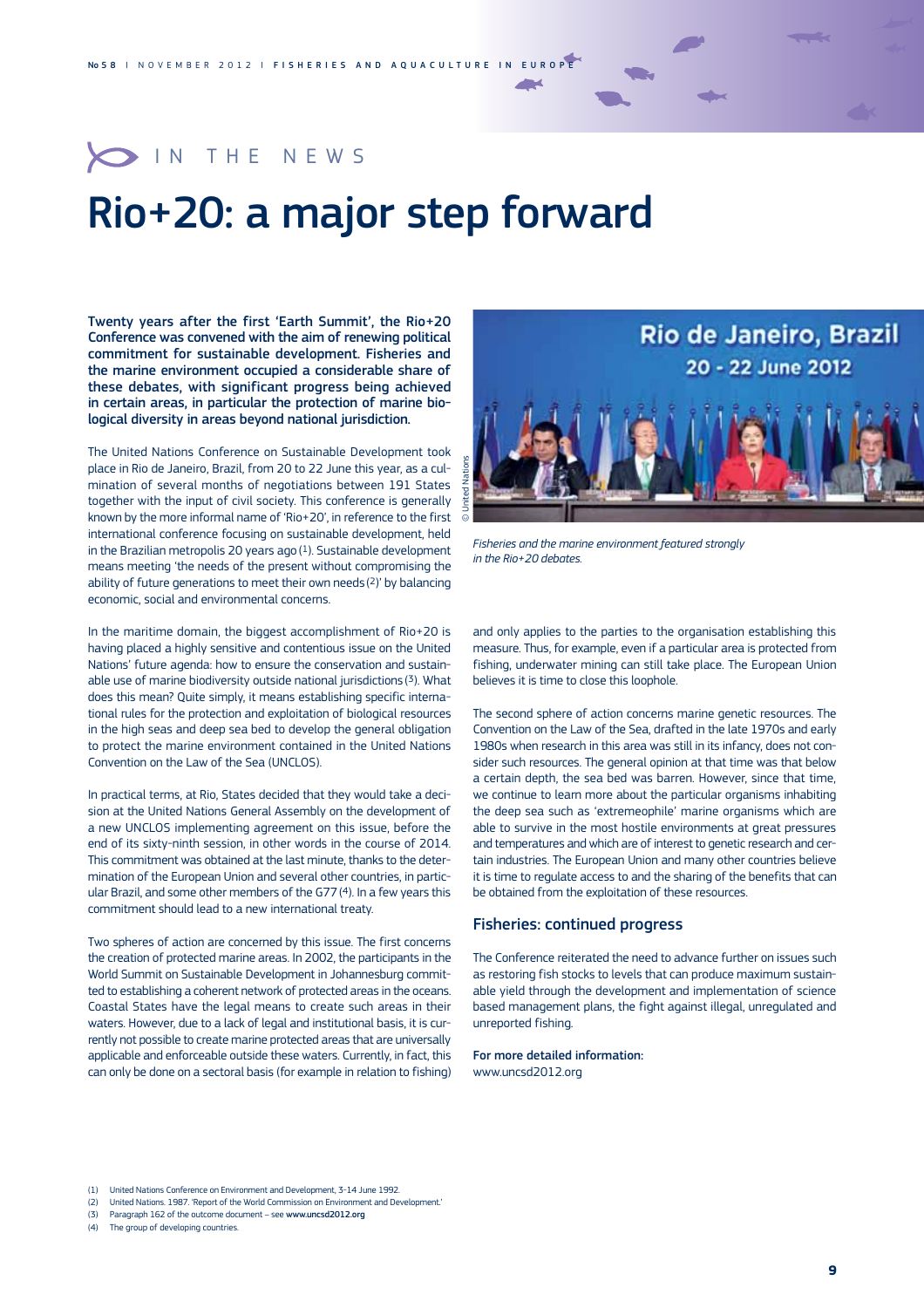## O IN THE NEWS

# Rio+20: a major step forward

Twenty years after the first 'Earth Summit', the Rio+20 Conference was convened with the aim of renewing political commitment for sustainable development. Fisheries and the marine environment occupied a considerable share of these debates, with significant progress being achieved in certain areas, in particular the protection of marine biological diversity in areas beyond national jurisdiction.

The United Nations Conference on Sustainable Development took place in Rio de Janeiro, Brazil, from 20 to 22 June this year, as a culmination of several months of negotiations between 191 States together with the input of civil society. This conference is generally known by the more informal name of 'Rio+20', in reference to the first international conference focusing on sustainable development, held in the Brazilian metropolis 20 years ago  $(1)$ . Sustainable development means meeting 'the needs of the present without compromising the ability of future generations to meet their own needs (2)' by balancing economic, social and environmental concerns.

In the maritime domain, the biggest accomplishment of Rio+20 is having placed a highly sensitive and contentious issue on the United Nations' future agenda: how to ensure the conservation and sustainable use of marine biodiversity outside national jurisdictions (3). What does this mean? Quite simply, it means establishing specific international rules for the protection and exploitation of biological resources in the high seas and deep sea bed to develop the general obligation to protect the marine environment contained in the United Nations Convention on the Law of the Sea (UNCLOS).

In practical terms, at Rio, States decided that they would take a decision at the United Nations General Assembly on the development of a new UNCLOS implementing agreement on this issue, before the end of its sixty-ninth session, in other words in the course of 2014. This commitment was obtained at the last minute, thanks to the determination of the European Union and several other countries, in particular Brazil, and some other members of the G77(4). In a few years this commitment should lead to a new international treaty.

Two spheres of action are concerned by this issue. The first concerns the creation of protected marine areas. In 2002, the participants in the World Summit on Sustainable Development in Johannesburg committed to establishing a coherent network of protected areas in the oceans. Coastal States have the legal means to create such areas in their waters. However, due to a lack of legal and institutional basis, it is currently not possible to create marine protected areas that are universally applicable and enforceable outside these waters. Currently, in fact, this can only be done on a sectoral basis (for example in relation to fishing)



*Fisheries and the marine environment featured strongly in the Rio+20 debates.*

and only applies to the parties to the organisation establishing this measure. Thus, for example, even if a particular area is protected from fishing, underwater mining can still take place. The European Union believes it is time to close this loophole.

The second sphere of action concerns marine genetic resources. The Convention on the Law of the Sea, drafted in the late 1970s and early 1980s when research in this area was still in its infancy, does not consider such resources. The general opinion at that time was that below a certain depth, the sea bed was barren. However, since that time, we continue to learn more about the particular organisms inhabiting the deep sea such as 'extremeophile' marine organisms which are able to survive in the most hostile environments at great pressures and temperatures and which are of interest to genetic research and certain industries. The European Union and many other countries believe it is time to regulate access to and the sharing of the benefits that can be obtained from the exploitation of these resources.

### Fisheries: continued progress

The Conference reiterated the need to advance further on issues such as restoring fish stocks to levels that can produce maximum sustainable yield through the development and implementation of science based management plans, the fight against illegal, unregulated and unreported fishing.

#### For more detailed information:

www.uncsd2012.org

- (2) United Nations. 1987. 'Report of the World Commission on Environment and Development.'
- (3) Paragraph 162 of the outcome document see www.uncsd2012.org

(4) The group of developing countries.

<sup>(1)</sup> United Nations Conference on Environment and Development, 3-14 June 1992.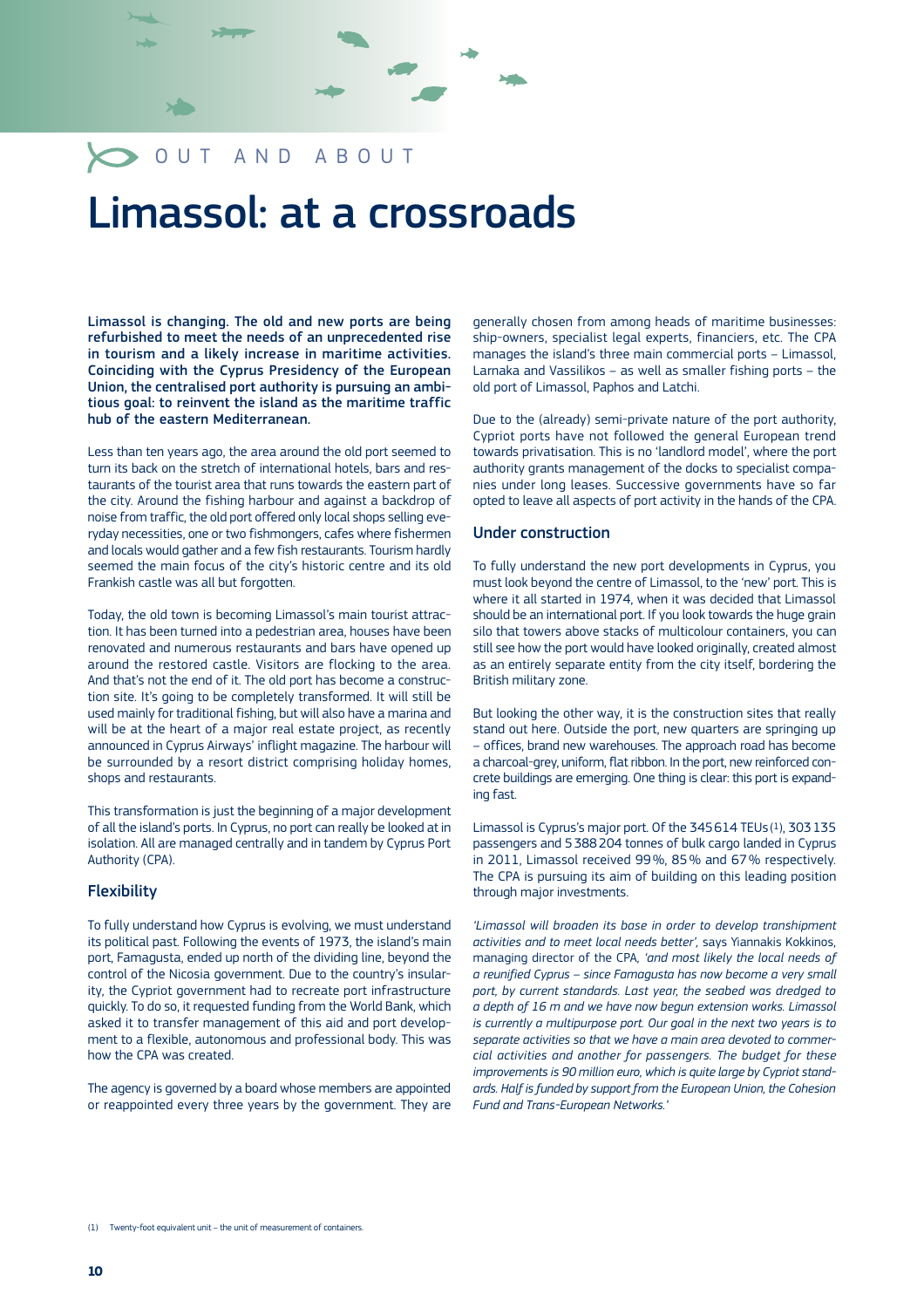## **OUT AND ABOUT**

# Limassol: at a crossroads

Limassol is changing. The old and new ports are being refurbished to meet the needs of an unprecedented rise in tourism and a likely increase in maritime activities. Coinciding with the Cyprus Presidency of the European Union, the centralised port authority is pursuing an ambitious goal: to reinvent the island as the maritime traffic hub of the eastern Mediterranean.

Less than ten years ago, the area around the old port seemed to turn its back on the stretch of international hotels, bars and restaurants of the tourist area that runs towards the eastern part of the city. Around the fishing harbour and against a backdrop of noise from traffic, the old port offered only local shops selling everyday necessities, one or two fishmongers, cafes where fishermen and locals would gather and a few fish restaurants. Tourism hardly seemed the main focus of the city's historic centre and its old Frankish castle was all but forgotten.

Today, the old town is becoming Limassol's main tourist attraction. It has been turned into a pedestrian area, houses have been renovated and numerous restaurants and bars have opened up around the restored castle. Visitors are flocking to the area. And that's not the end of it. The old port has become a construction site. It's going to be completely transformed. It will still be used mainly for traditional fishing, but will also have a marina and will be at the heart of a major real estate project, as recently announced in Cyprus Airways' inflight magazine. The harbour will be surrounded by a resort district comprising holiday homes, shops and restaurants.

This transformation is just the beginning of a major development of all the island's ports. In Cyprus, no port can really be looked at in isolation. All are managed centrally and in tandem by Cyprus Port Authority (CPA).

### **Flexibility**

To fully understand how Cyprus is evolving, we must understand its political past. Following the events of 1973, the island's main port, Famagusta, ended up north of the dividing line, beyond the control of the Nicosia government. Due to the country's insularity, the Cypriot government had to recreate port infrastructure quickly. To do so, it requested funding from the World Bank, which asked it to transfer management of this aid and port development to a flexible, autonomous and professional body. This was how the CPA was created.

The agency is governed by a board whose members are appointed or reappointed every three years by the government. They are

generally chosen from among heads of maritime businesses: ship-owners, specialist legal experts, financiers, etc. The CPA manages the island's three main commercial ports – Limassol, Larnaka and Vassilikos - as well as smaller fishing ports - the old port of Limassol, Paphos and Latchi.

Due to the (already) semi-private nature of the port authority, Cypriot ports have not followed the general European trend towards privatisation. This is no 'landlord model', where the port authority grants management of the docks to specialist companies under long leases. Successive governments have so far opted to leave all aspects of port activity in the hands of the CPA.

### Under construction

**Note** 

To fully understand the new port developments in Cyprus, you must look beyond the centre of Limassol, to the 'new' port. This is where it all started in 1974, when it was decided that Limassol should be an international port. If you look towards the huge grain silo that towers above stacks of multicolour containers, you can still see how the port would have looked originally, created almost as an entirely separate entity from the city itself, bordering the British military zone.

But looking the other way, it is the construction sites that really stand out here. Outside the port, new quarters are springing up – offices, brand new warehouses. The approach road has become a charcoal-grey, uniform, flat ribbon. In the port, new reinforced concrete buildings are emerging. One thing is clear: this port is expanding fast.

Limassol is Cyprus's major port. Of the  $345614$  TEUs $(1)$ , 303 135 passengers and 5388204 tonnes of bulk cargo landed in Cyprus in 2011, Limassol received 99%, 85% and 67% respectively. The CPA is pursuing its aim of building on this leading position through major investments.

*'Limassol will broaden its base in order to develop transhipment*  activities and to meet local needs better', says Yiannakis Kokkinos, managing director of the CPA, 'and most likely the local needs of *a reunified Cyprus – since Famagusta has now become a very small port, by current standards. Last year, the seabed was dredged to a depth of 16 m and we have now begun extension works. Limassol is currently a multipurpose port. Our goal in the next two years is to separate activities so that we have a main area devoted to commercial activities and another for passengers. The budget for these improvements is 90 million euro, which is quite large by Cypriot standards. Half is funded by support from the European Union, the Cohesion Fund and Trans-European Networks.'*

(1) Twenty-foot equivalent unit – the unit of measurement of containers.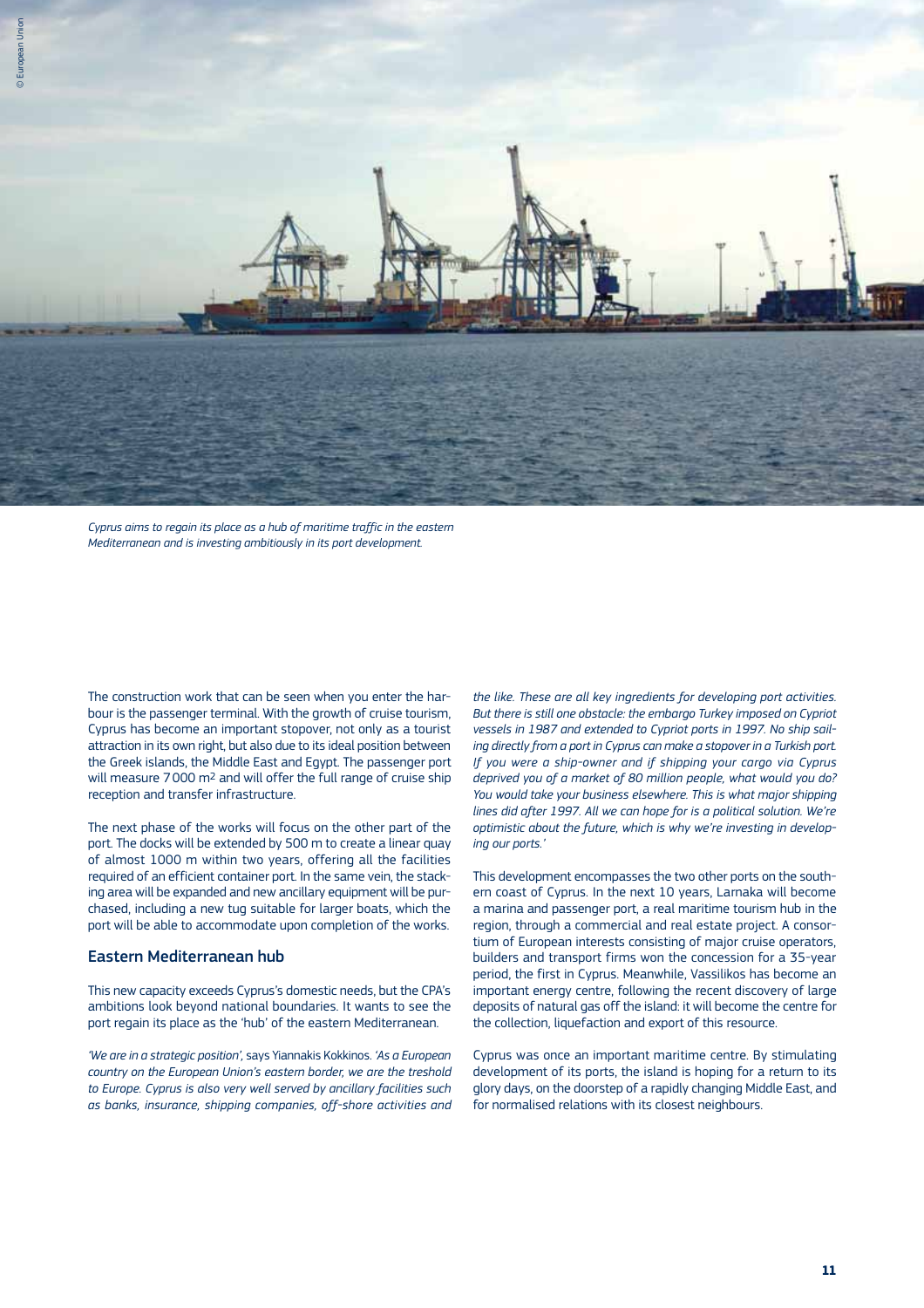

*Cyprus aims to regain its place as a hub of maritime traffic in the eastern Mediterranean and is investing ambitiously in its port development.*

The construction work that can be seen when you enter the harbour is the passenger terminal. With the growth of cruise tourism, Cyprus has become an important stopover, not only as a tourist attraction in its own right, but also due to its ideal position between the Greek islands, the Middle East and Egypt. The passenger port will measure 7 000 m2 and will offer the full range of cruise ship reception and transfer infrastructure.

The next phase of the works will focus on the other part of the port. The docks will be extended by 500 m to create a linear quay of almost 1000 m within two years, offering all the facilities required of an efficient container port. In the same vein, the stacking area will be expanded and new ancillary equipment will be purchased, including a new tug suitable for larger boats, which the port will be able to accommodate upon completion of the works.

### Eastern Mediterranean hub

This new capacity exceeds Cyprus's domestic needs, but the CPA's ambitions look beyond national boundaries. It wants to see the port regain its place as the 'hub' of the eastern Mediterranean.

*'We are in a strategic position', savs Yiannakis Kokkinos, 'As a European' country on the European Union's eastern border, we are the treshold to Europe. Cyprus is also very well served by ancillary facilities such as banks, insurance, shipping companies, off-shore activities and* 

*the like. These are all key ingredients for developing port activities. But there is still one obstacle: the embargo Turkey imposed on Cypriot vessels in 1987 and extended to Cypriot ports in 1997. No ship sailing directly from a port in Cyprus can make a stopover in a Turkish port. If you were a ship-owner and if shipping your cargo via Cyprus deprived you of a market of 80 million people, what would you do? You would take your business elsewhere. This is what major shipping lines did after 1997. All we can hope for is a political solution. We're optimistic about the future, which is why we're investing in developing our ports.'* 

This development encompasses the two other ports on the southern coast of Cyprus. In the next 10 years, Larnaka will become a marina and passenger port, a real maritime tourism hub in the region, through a commercial and real estate project. A consortium of European interests consisting of major cruise operators, builders and transport firms won the concession for a 35-year period, the first in Cyprus. Meanwhile, Vassilikos has become an important energy centre, following the recent discovery of large deposits of natural gas off the island: it will become the centre for the collection, liquefaction and export of this resource.

Cyprus was once an important maritime centre. By stimulating development of its ports, the island is hoping for a return to its glory days, on the doorstep of a rapidly changing Middle East, and for normalised relations with its closest neighbours.